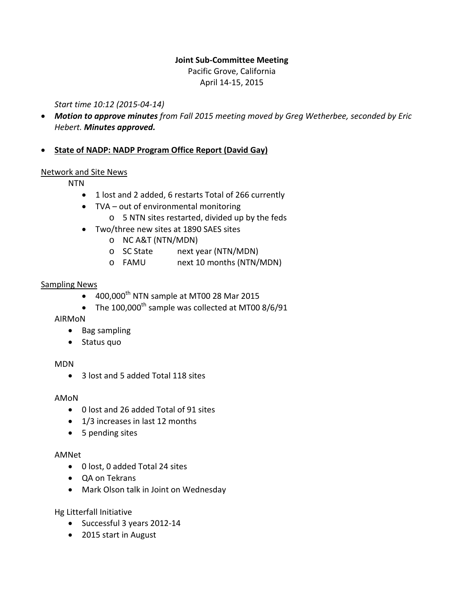#### **Joint Sub-Committee Meeting**

Pacific Grove, California April 14-15, 2015

*Start time 10:12 (2015-04-14)*

• *Motion to approve minutes from Fall 2015 meeting moved by Greg Wetherbee, seconded by Eric Hebert. Minutes approved.*

# • **State of NADP: NADP Program Office Report (David Gay)**

#### Network and Site News

NTN

- 1 lost and 2 added, 6 restarts Total of 266 currently
- TVA out of environmental monitoring
	- o 5 NTN sites restarted, divided up by the feds
- Two/three new sites at 1890 SAES sites
	- o NC A&T (NTN/MDN)
	- o SC State next year (NTN/MDN)
	- o FAMU next 10 months (NTN/MDN)

#### Sampling News

- $\bullet$  400,000<sup>th</sup> NTN sample at MT00 28 Mar 2015
- The  $100,000$ <sup>th</sup> sample was collected at MT00 8/6/91

#### AIRMoN

- Bag sampling
- Status quo

#### MDN

• 3 lost and 5 added Total 118 sites

#### AMoN

- 0 lost and 26 added Total of 91 sites
- 1/3 increases in last 12 months
- 5 pending sites

#### AMNet

- 0 lost, 0 added Total 24 sites
- QA on Tekrans
- Mark Olson talk in Joint on Wednesday

Hg Litterfall Initiative

- Successful 3 years 2012-14
- 2015 start in August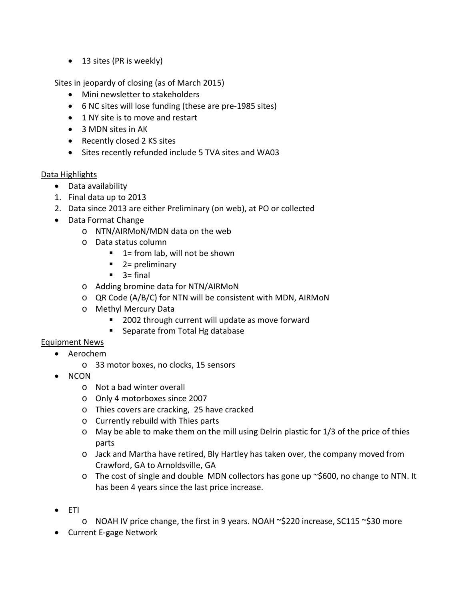• 13 sites (PR is weekly)

Sites in jeopardy of closing (as of March 2015)

- Mini newsletter to stakeholders
- 6 NC sites will lose funding (these are pre-1985 sites)
- 1 NY site is to move and restart
- 3 MDN sites in AK
- Recently closed 2 KS sites
- Sites recently refunded include 5 TVA sites and WA03

#### Data Highlights

- Data availability
- 1. Final data up to 2013
- 2. Data since 2013 are either Preliminary (on web), at PO or collected
- Data Format Change
	- o NTN/AIRMoN/MDN data on the web
	- o Data status column
		- $\blacksquare$  1 = from lab, will not be shown
		- $\blacksquare$  2 = preliminary
		- $\blacksquare$  3= final
	- o Adding bromine data for NTN/AIRMoN
	- o QR Code (A/B/C) for NTN will be consistent with MDN, AIRMoN
	- o Methyl Mercury Data
		- 2002 through current will update as move forward
		- **Separate from Total Hg database**

## Equipment News

- Aerochem
	- o 33 motor boxes, no clocks, 15 sensors
- NCON
	- o Not a bad winter overall
	- o Only 4 motorboxes since 2007
	- o Thies covers are cracking, 25 have cracked
	- o Currently rebuild with Thies parts
	- o May be able to make them on the mill using Delrin plastic for 1/3 of the price of thies parts
	- o Jack and Martha have retired, Bly Hartley has taken over, the company moved from Crawford, GA to Arnoldsville, GA
	- $\circ$  The cost of single and double MDN collectors has gone up  $\sim$ \$600, no change to NTN. It has been 4 years since the last price increase.
- ETI
	- o NOAH IV price change, the first in 9 years. NOAH ~\$220 increase, SC115 ~\$30 more
- Current E-gage Network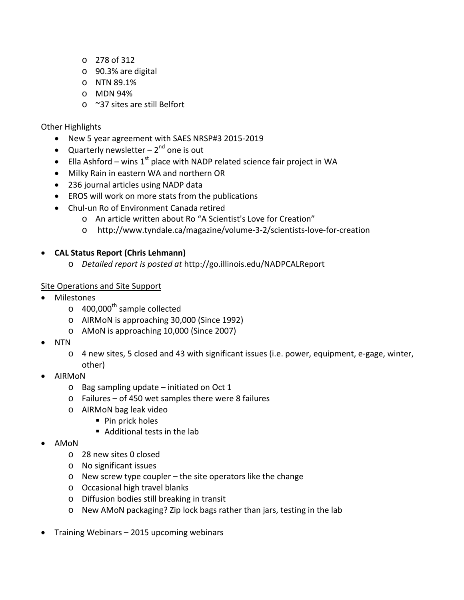- o 278 of 312
- o 90.3% are digital
- o NTN 89.1%
- o MDN 94%
- o ~37 sites are still Belfort

### Other Highlights

- New 5 year agreement with SAES NRSP#3 2015-2019
- Quarterly newsletter  $-2^{nd}$  one is out
- Ella Ashford wins  $1^{st}$  place with NADP related science fair project in WA
- Milky Rain in eastern WA and northern OR
- 236 journal articles using NADP data
- EROS will work on more stats from the publications
- Chul-un Ro of Environment Canada retired
	- o An article written about Ro "A Scientist's Love for Creation"
	- o http://www.tyndale.ca/magazine/volume-3-2/scientists-love-for-creation

## • **CAL Status Report (Chris Lehmann)**

o *Detailed report is posted at* http://go.illinois.edu/NADPCALReport

## Site Operations and Site Support

- **Milestones** 
	- $\circ$  400,000<sup>th</sup> sample collected
	- o AIRMoN is approaching 30,000 (Since 1992)
	- o AMoN is approaching 10,000 (Since 2007)
- NTN
	- o 4 new sites, 5 closed and 43 with significant issues (i.e. power, equipment, e-gage, winter, other)
- AIRMoN
	- o Bag sampling update initiated on Oct 1
	- o Failures of 450 wet samples there were 8 failures
	- o AIRMoN bag leak video
		- Pin prick holes
		- Additional tests in the lab
- AMoN
	- o 28 new sites 0 closed
	- o No significant issues
	- o New screw type coupler the site operators like the change
	- o Occasional high travel blanks
	- o Diffusion bodies still breaking in transit
	- o New AMoN packaging? Zip lock bags rather than jars, testing in the lab
- Training Webinars 2015 upcoming webinars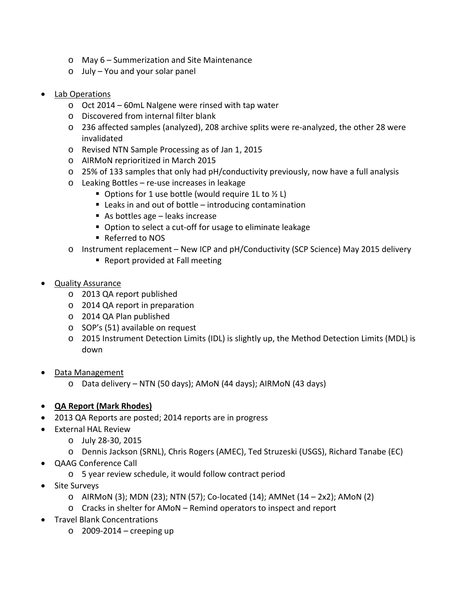- o May 6 Summerization and Site Maintenance
- o July You and your solar panel
- Lab Operations
	- o Oct 2014 60mL Nalgene were rinsed with tap water
	- o Discovered from internal filter blank
	- o 236 affected samples (analyzed), 208 archive splits were re-analyzed, the other 28 were invalidated
	- o Revised NTN Sample Processing as of Jan 1, 2015
	- o AIRMoN reprioritized in March 2015
	- $\circ$  25% of 133 samples that only had pH/conductivity previously, now have a full analysis
	- o Leaking Bottles re-use increases in leakage
		- Options for 1 use bottle (would require 1L to  $\frac{1}{2}$  L)
		- $\blacksquare$  Leaks in and out of bottle introducing contamination
		- As bottles age leaks increase
		- Option to select a cut-off for usage to eliminate leakage
		- Referred to NOS
	- o Instrument replacement New ICP and pH/Conductivity (SCP Science) May 2015 delivery
		- Report provided at Fall meeting
- **Quality Assurance** 
	- o 2013 QA report published
	- o 2014 QA report in preparation
	- o 2014 QA Plan published
	- o SOP's (51) available on request
	- o 2015 Instrument Detection Limits (IDL) is slightly up, the Method Detection Limits (MDL) is down
- Data Management
	- o Data delivery NTN (50 days); AMoN (44 days); AIRMoN (43 days)
- **QA Report (Mark Rhodes)**
- 2013 QA Reports are posted; 2014 reports are in progress
- External HAL Review
	- o July 28-30, 2015
	- o Dennis Jackson (SRNL), Chris Rogers (AMEC), Ted Struzeski (USGS), Richard Tanabe (EC)
- QAAG Conference Call
	- o 5 year review schedule, it would follow contract period
- Site Surveys
	- $\circ$  AIRMoN (3); MDN (23); NTN (57); Co-located (14); AMNet (14 2x2); AMoN (2)
	- o Cracks in shelter for AMoN Remind operators to inspect and report
- Travel Blank Concentrations
	- $\circ$  2009-2014 creeping up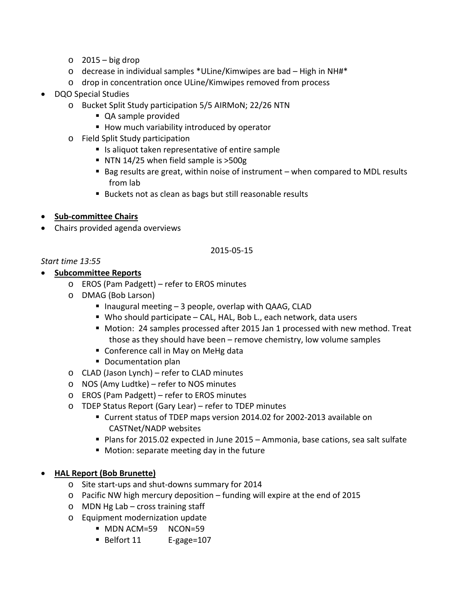- $\circ$  2015 big drop
- o decrease in individual samples \*ULine/Kimwipes are bad High in NH#\*
- o drop in concentration once ULine/Kimwipes removed from process
- DQO Special Studies
	- o Bucket Split Study participation 5/5 AIRMoN; 22/26 NTN
		- QA sample provided
		- How much variability introduced by operator
	- o Field Split Study participation
		- Is aliquot taken representative of entire sample
		- NTN 14/25 when field sample is  $>500g$
		- Bag results are great, within noise of instrument when compared to MDL results from lab
		- Buckets not as clean as bags but still reasonable results
- **Sub-committee Chairs**
- Chairs provided agenda overviews

## 2015-05-15

## *Start time 13:55*

## • **Subcommittee Reports**

- o EROS (Pam Padgett) refer to EROS minutes
- o DMAG (Bob Larson)
	- $\blacksquare$  Inaugural meeting  $-3$  people, overlap with QAAG, CLAD
	- Who should participate CAL, HAL, Bob L., each network, data users
	- **Motion: 24 samples processed after 2015 Jan 1 processed with new method. Treat** those as they should have been – remove chemistry, low volume samples
	- Conference call in May on MeHg data
	- **Documentation plan**
- o CLAD (Jason Lynch) refer to CLAD minutes
- o NOS (Amy Ludtke) refer to NOS minutes
- o EROS (Pam Padgett) refer to EROS minutes
- o TDEP Status Report (Gary Lear) refer to TDEP minutes
	- Current status of TDEP maps version 2014.02 for 2002-2013 available on CASTNet/NADP websites
	- Plans for 2015.02 expected in June 2015 Ammonia, base cations, sea salt sulfate
	- **Motion: separate meeting day in the future**

# • **HAL Report (Bob Brunette)**

- o Site start-ups and shut-downs summary for 2014
- o Pacific NW high mercury deposition funding will expire at the end of 2015
- o MDN Hg Lab cross training staff
- o Equipment modernization update
	- **MDN ACM=59 NCON=59**
	- Belfort 11 E-gage=107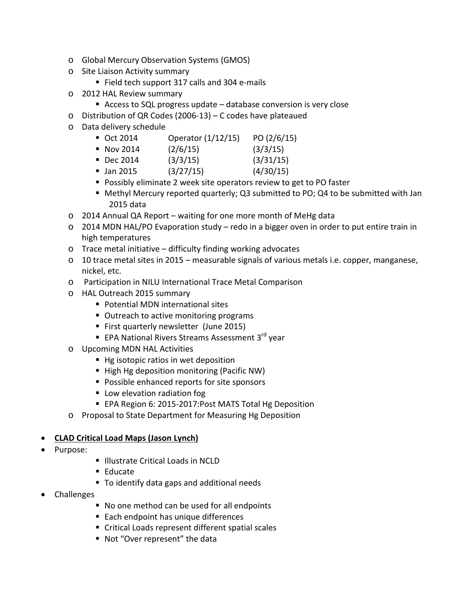- o Global Mercury Observation Systems (GMOS)
- o Site Liaison Activity summary
	- Field tech support 317 calls and 304 e-mails
- o 2012 HAL Review summary
	- Access to SQL progress update database conversion is very close
- o Distribution of QR Codes (2006-13) C codes have plateaued
- o Data delivery schedule
	- Oct 2014 Operator (1/12/15) PO (2/6/15)
	- Nov 2014  $(2/6/15)$   $(3/3/15)$
	- $\bullet$  Dec 2014 (3/3/15) (3/31/15)
	- $\blacksquare$  Jan 2015 (3/27/15) (4/30/15)
	- Possibly eliminate 2 week site operators review to get to PO faster
	- Methyl Mercury reported quarterly; Q3 submitted to PO; Q4 to be submitted with Jan 2015 data
- o 2014 Annual QA Report waiting for one more month of MeHg data
- o 2014 MDN HAL/PO Evaporation study redo in a bigger oven in order to put entire train in high temperatures
- o Trace metal initiative difficulty finding working advocates
- o 10 trace metal sites in 2015 measurable signals of various metals i.e. copper, manganese, nickel, etc.
- o Participation in NILU International Trace Metal Comparison
- o HAL Outreach 2015 summary
	- Potential MDN international sites
	- **Dutreach to active monitoring programs**
	- First quarterly newsletter (June 2015)
	- EPA National Rivers Streams Assessment 3<sup>rd</sup> year
- o Upcoming MDN HAL Activities
	- Hg isotopic ratios in wet deposition
	- High Hg deposition monitoring (Pacific NW)
	- **Possible enhanced reports for site sponsors**
	- **Low elevation radiation fog**
	- EPA Region 6: 2015-2017: Post MATS Total Hg Deposition
- o Proposal to State Department for Measuring Hg Deposition

#### • **CLAD Critical Load Maps (Jason Lynch)**

- Purpose:
- **Illustrate Critical Loads in NCLD**
- Educate
- To identify data gaps and additional needs
- Challenges
	- No one method can be used for all endpoints
	- Each endpoint has unique differences
	- Critical Loads represent different spatial scales
	- Not "Over represent" the data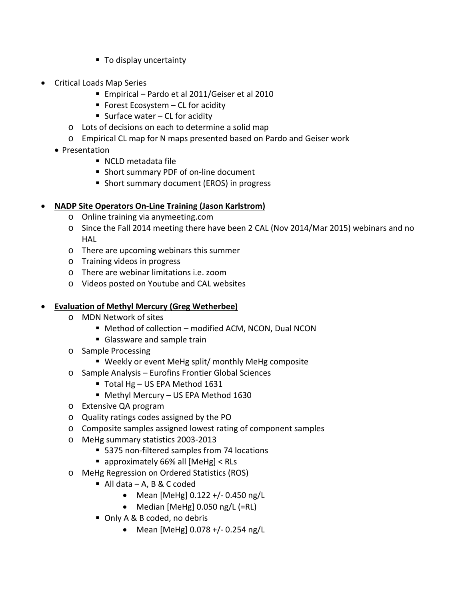- To display uncertainty
- Critical Loads Map Series
	- Empirical Pardo et al 2011/Geiser et al 2010
	- Forest Ecosystem  $-$  CL for acidity
	- Surface water  $-$  CL for acidity
	- o Lots of decisions on each to determine a solid map
	- o Empirical CL map for N maps presented based on Pardo and Geiser work
	- Presentation
		- NCLD metadata file
		- Short summary PDF of on-line document
		- **Short summary document (EROS) in progress**

## • **NADP Site Operators On-Line Training (Jason Karlstrom)**

- o Online training via anymeeting.com
- o Since the Fall 2014 meeting there have been 2 CAL (Nov 2014/Mar 2015) webinars and no HAL
- o There are upcoming webinars this summer
- o Training videos in progress
- o There are webinar limitations i.e. zoom
- o Videos posted on Youtube and CAL websites

# • **Evaluation of Methyl Mercury (Greg Wetherbee)**

- o MDN Network of sites
	- Method of collection modified ACM, NCON, Dual NCON
	- Glassware and sample train
- o Sample Processing
	- Weekly or event MeHg split/ monthly MeHg composite
- o Sample Analysis Eurofins Frontier Global Sciences
	- Total Hg US EPA Method 1631
	- Methyl Mercury US EPA Method 1630
- o Extensive QA program
- o Quality ratings codes assigned by the PO
- o Composite samples assigned lowest rating of component samples
- o MeHg summary statistics 2003-2013
	- 5375 non-filtered samples from 74 locations
	- approximately 66% all [MeHg] < RLs
- o MeHg Regression on Ordered Statistics (ROS)
	- $\blacksquare$  All data A, B & C coded
		- Mean [MeHg] 0.122 +/- 0.450 ng/L
		- Median [MeHg] 0.050 ng/L (=RL)
	- Only A & B coded, no debris
		- Mean [MeHg] 0.078 +/- 0.254 ng/L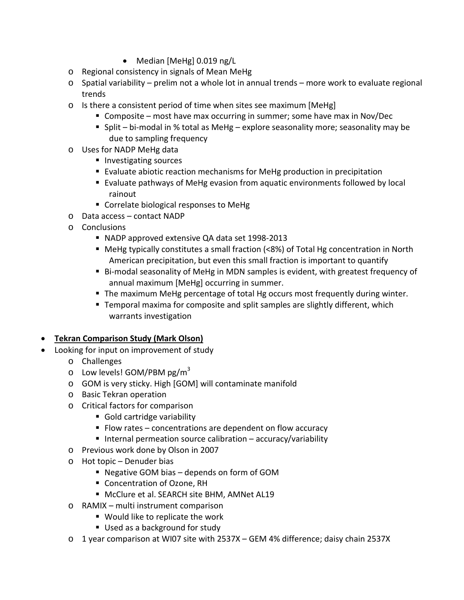- Median [MeHg] 0.019 ng/L
- o Regional consistency in signals of Mean MeHg
- o Spatial variability prelim not a whole lot in annual trends more work to evaluate regional trends
- $\circ$  Is there a consistent period of time when sites see maximum [MeHg]
	- Composite most have max occurring in summer; some have max in Nov/Dec
	- Split bi-modal in % total as MeHg explore seasonality more; seasonality may be due to sampling frequency
- o Uses for NADP MeHg data
	- Investigating sources
	- Evaluate abiotic reaction mechanisms for MeHg production in precipitation
	- Evaluate pathways of MeHg evasion from aquatic environments followed by local rainout
	- Correlate biological responses to MeHg
- o Data access contact NADP
- o Conclusions
	- NADP approved extensive QA data set 1998-2013
	- MeHg typically constitutes a small fraction (<8%) of Total Hg concentration in North American precipitation, but even this small fraction is important to quantify
	- Bi-modal seasonality of MeHg in MDN samples is evident, with greatest frequency of annual maximum [MeHg] occurring in summer.
	- **The maximum MeHg percentage of total Hg occurs most frequently during winter.**
	- Temporal maxima for composite and split samples are slightly different, which warrants investigation

## • **Tekran Comparison Study (Mark Olson)**

- Looking for input on improvement of study
	- o Challenges
	- $\circ$  Low levels! GOM/PBM pg/m<sup>3</sup>
	- o GOM is very sticky. High [GOM] will contaminate manifold
	- o Basic Tekran operation
	- o Critical factors for comparison
		- Gold cartridge variability
		- $\blacksquare$  Flow rates concentrations are dependent on flow accuracy
		- Internal permeation source calibration accuracy/variability
	- o Previous work done by Olson in 2007
	- o Hot topic Denuder bias
		- Negative GOM bias depends on form of GOM
		- **Concentration of Ozone, RH**
		- McClure et al. SEARCH site BHM, AMNet AL19
	- o RAMIX multi instrument comparison
		- Would like to replicate the work
		- Used as a background for study
	- o 1 year comparison at WI07 site with 2537X GEM 4% difference; daisy chain 2537X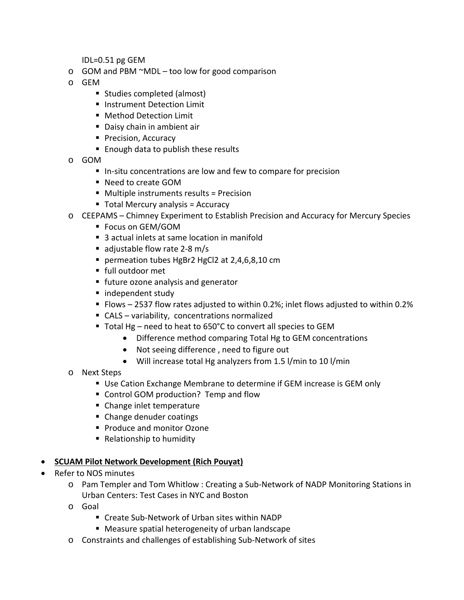IDL=0.51 pg GEM

- $\circ$  GOM and PBM  $\sim$ MDL too low for good comparison
- o GEM
	- Studies completed (almost)
	- **Instrument Detection Limit**
	- Method Detection Limit
	- Daisy chain in ambient air
	- **Precision, Accuracy**
	- **Enough data to publish these results**
- o GOM
	- In-situ concentrations are low and few to compare for precision
	- Need to create GOM
	- Multiple instruments results = Precision
	- Total Mercury analysis = Accuracy
- o CEEPAMS Chimney Experiment to Establish Precision and Accuracy for Mercury Species
	- Focus on GEM/GOM
	- 3 actual inlets at same location in manifold
	- adjustable flow rate 2-8 m/s
	- permeation tubes HgBr2 HgCl2 at 2,4,6,8,10 cm
	- full outdoor met
	- **future ozone analysis and generator**
	- independent study
	- Flows 2537 flow rates adjusted to within 0.2%; inlet flows adjusted to within 0.2%
	- CALS variability, concentrations normalized
	- Total Hg need to heat to 650°C to convert all species to GEM
		- Difference method comparing Total Hg to GEM concentrations
		- Not seeing difference , need to figure out
		- Will increase total Hg analyzers from 1.5 l/min to 10 l/min
- o Next Steps
	- Use Cation Exchange Membrane to determine if GEM increase is GEM only
	- Control GOM production? Temp and flow
	- Change inlet temperature
	- Change denuder coatings
	- **Produce and monitor Ozone**
	- Relationship to humidity

## • **SCUAM Pilot Network Development (Rich Pouyat)**

- Refer to NOS minutes
	- o Pam Templer and Tom Whitlow : Creating a Sub-Network of NADP Monitoring Stations in Urban Centers: Test Cases in NYC and Boston
	- o Goal
		- Create Sub-Network of Urban sites within NADP
		- Measure spatial heterogeneity of urban landscape
	- o Constraints and challenges of establishing Sub-Network of sites